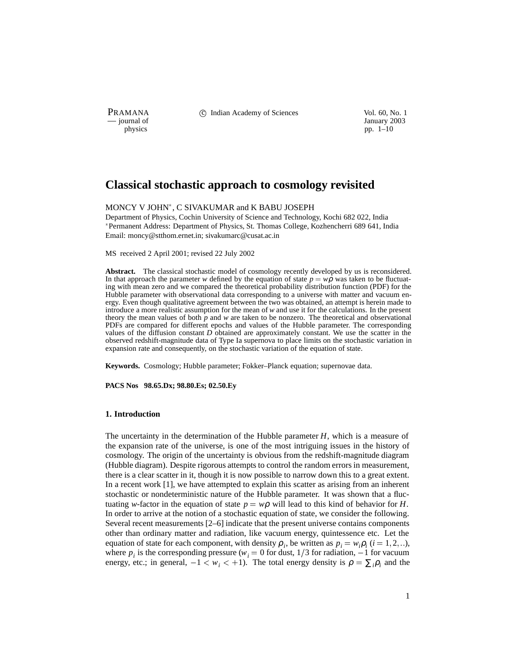PRAMANA 
<sup>c</sup> Indian Academy of Sciences 
<sup>Vol. 60, No. 1
<sup>1</sup> January 2003</sup>

physics and the interval of January 2003<br>
physics pp. 1–10 pp. 1–10

# **Classical stochastic approach to cosmology revisited**

## MONCY V JOHN , C SIVAKUMAR and K BABU JOSEPH

Department of Physics, Cochin University of Science and Technology, Kochi 682 022, India Permanent Address: Department of Physics, St. Thomas College, Kozhencherri 689 641, India Email: moncy@stthom.ernet.in; sivakumarc@cusat.ac.in

MS received 2 April 2001; revised 22 July 2002

**Abstract.** The classical stochastic model of cosmology recently developed by us is reconsidered. In that approach the parameter *w* defined by the equation of state  $p = w\rho$  was taken to be fluctuating with mean zero and we compared the theoretical probability distribution function (PDF) for the Hubble parameter with observational data corresponding to a universe with matter and vacuum energy. Even though qualitative agreement between the two was obtained, an attempt is herein made to introduce a more realistic assumption for the mean of *w* and use it for the calculations. In the present theory the mean values of both *p* and *w* are taken to be nonzero. The theoretical and observational PDFs are compared for different epochs and values of the Hubble parameter. The corresponding values of the diffusion constant *D* obtained are approximately constant. We use the scatter in the observed redshift-magnitude data of Type Ia supernova to place limits on the stochastic variation in expansion rate and consequently, on the stochastic variation of the equation of state.

**Keywords.** Cosmology; Hubble parameter; Fokker–Planck equation; supernovae data.

**PACS Nos 98.65.Dx; 98.80.Es; 02.50.Ey**

## **1. Introduction**

The uncertainty in the determination of the Hubble parameter *H*, which is a measure of the expansion rate of the universe, is one of the most intriguing issues in the history of cosmology. The origin of the uncertainty is obvious from the redshift-magnitude diagram (Hubble diagram). Despite rigorous attempts to control the random errors in measurement, there is a clear scatter in it, though it is now possible to narrow down this to a great extent. In a recent work [1], we have attempted to explain this scatter as arising from an inherent stochastic or nondeterministic nature of the Hubble parameter. It was shown that a fluctuating *w*-factor in the equation of state  $p = w\rho$  will lead to this kind of behavior for *H*. In order to arrive at the notion of a stochastic equation of state, we consider the following. Several recent measurements [2–6] indicate that the present universe contains components other than ordinary matter and radiation, like vacuum energy, quintessence etc. Let the equation of state for each component, with density  $\rho_i$ , be written as  $p_i = w_i \rho_i$  (*i* = 1, 2, ...), where  $p_i$  is the corresponding pressure ( $w_i = 0$  for dust,  $1/3$  for radiation,  $-1$  for vacuum energy, etc.; in general,  $-1 < w_i < +1$ ). The total energy density is  $\rho = \sum_i \rho_i$  and the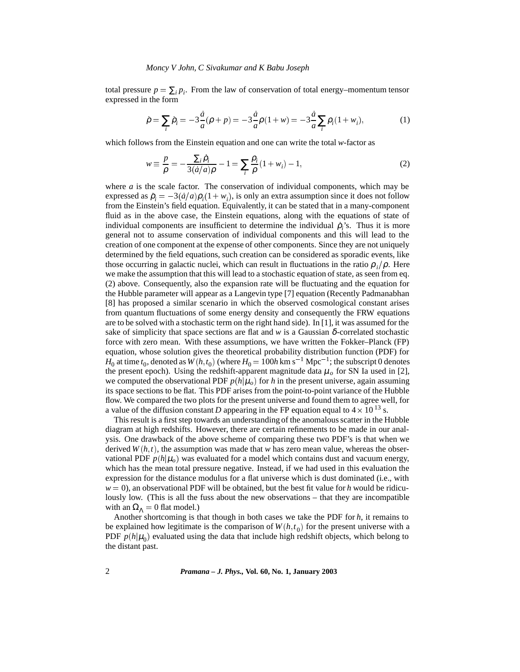#### *Moncy V John, C Sivakumar and K Babu Joseph*

total pressure  $p = \sum_i p_i$ . From the law of conservation of total energy–momentum tensor expressed in the form

$$
\dot{\rho} = \sum_{i} \dot{\rho}_i = -3\frac{\dot{a}}{a}(\rho + p) = -3\frac{\dot{a}}{a}\rho(1 + w) = -3\frac{\dot{a}}{a}\sum_{i} \rho_i(1 + w_i),\tag{1}
$$

which follows from the Einstein equation and one can write the total *w*-factor as

$$
w \equiv \frac{p}{\rho} = -\frac{\sum_{i} \dot{\rho}_{i}}{3(\dot{a}/a)\rho} - 1 = \sum_{i} \frac{\rho_{i}}{\rho} (1 + w_{i}) - 1,
$$
 (2)

where  $a$  is the scale factor. The conservation of individual components, which may be expressed as  $\dot{\rho}_i = -3(\dot{a}/a)\rho_i(1 + w_i)$ , is only an extra assumption since it does not follow from the Einstein's field equation. Equivalently, it can be stated that in a many-component fluid as in the above case, the Einstein equations, along with the equations of state of individual components are insufficient to determine the individual  $\dot{\rho}_i$ 's. Thus it is more general not to assume conservation of individual components and this will lead to the creation of one component at the expense of other components. Since they are not uniquely determined by the field equations, such creation can be considered as sporadic events, like those occurring in galactic nuclei, which can result in fluctuations in the ratio  $\rho_i/\rho$ . Here we make the assumption that this will lead to a stochastic equation of state, as seen from eq. (2) above. Consequently, also the expansion rate will be fluctuating and the equation for the Hubble parameter will appear as a Langevin type [7] equation (Recently Padmanabhan [8] has proposed a similar scenario in which the observed cosmological constant arises from quantum fluctuations of some energy density and consequently the FRW equations are to be solved with a stochastic term on the right hand side). In [1], it was assumed for the sake of simplicity that space sections are flat and  $w$  is a Gaussian  $\delta$ -correlated stochastic force with zero mean. With these assumptions, we have written the Fokker–Planck (FP) equation, whose solution gives the theoretical probability distribution function (PDF) for  $H_0$  at time  $t_0$ , denoted as  $W(h, t_0)$  (where  $H_0 = 100h$  km s<sup>-1</sup> Mpc<sup>-1</sup>; the subscript 0 denotes the present epoch). Using the redshift-apparent magnitude data  $\mu_o$  for SN Ia used in [2], we computed the observational PDF  $p(h|\mu_o)$  for *h* in the present universe, again assuming its space sections to be flat. This PDF arises from the point-to-point variance of the Hubble flow. We compared the two plots for the present universe and found them to agree well, for a value of the diffusion constant *D* appearing in the FP equation equal to  $4 \times 10^{13}$  s.

This result is a first step towards an understanding of the anomalous scatter in the Hubble diagram at high redshifts. However, there are certain refinements to be made in our analysis. One drawback of the above scheme of comparing these two PDF's is that when we derived  $W(h,t)$ , the assumption was made that w has zero mean value, whereas the observational PDF  $p(h|\mu_o)$  was evaluated for a model which contains dust and vacuum energy, which has the mean total pressure negative. Instead, if we had used in this evaluation the expression for the distance modulus for a flat universe which is dust dominated (i.e., with  $w = 0$ , an observational PDF will be obtained, but the best fit value for *h* would be ridiculously low. (This is all the fuss about the new observations – that they are incompatible with an  $\Omega_{\Lambda} = 0$  flat model.)

Another shortcoming is that though in both cases we take the PDF for *h*, it remains to be explained how legitimate is the comparison of  $W(h, t_0)$  for the present universe with a PDF  $p(h|\mu_0)$  evaluated using the data that include high redshift objects, which belong to the distant past.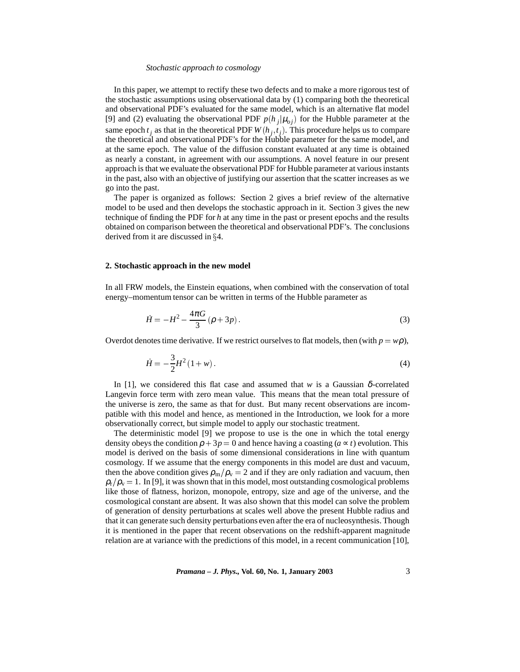#### *Stochastic approach to cosmology*

In this paper, we attempt to rectify these two defects and to make a more rigorous test of the stochastic assumptions using observational data by (1) comparing both the theoretical and observational PDF's evaluated for the same model, which is an alternative flat model [9] and (2) evaluating the observational PDF  $p(h_i|\mu_{oj})$  for the Hubble parameter at the same epoch  $t_j$  as that in the theoretical PDF  $W(h_j, t_j)$ . This procedure helps us to compare the theoretical and observational PDF's for the Hubble parameter for the same model, and at the same epoch. The value of the diffusion constant evaluated at any time is obtained as nearly a constant, in agreement with our assumptions. A novel feature in our present approach is that we evaluate the observational PDF for Hubble parameter at various instants in the past, also with an objective of justifying our assertion that the scatter increases as we go into the past.

The paper is organized as follows: Section 2 gives a brief review of the alternative model to be used and then develops the stochastic approach in it. Section 3 gives the new technique of finding the PDF for *h* at any time in the past or present epochs and the results obtained on comparison between the theoretical and observational PDF's. The conclusions derived from it are discussed in  $\S 4$ .

#### **2. Stochastic approach in the new model**

In all FRW models, the Einstein equations, when combined with the conservation of total energy–momentum tensor can be written in terms of the Hubble parameter as

$$
\dot{H} = -H^2 - \frac{4\pi G}{3} (\rho + 3p). \tag{3}
$$

Overdot denotes time derivative. If we restrict ourselves to flat models, then (with  $p = w\rho$ ),

$$
\dot{H} = -\frac{3}{2}H^2(1+w). \tag{4}
$$

In [1], we considered this flat case and assumed that *w* is a Gaussian  $\delta$ -correlated Langevin force term with zero mean value. This means that the mean total pressure of the universe is zero, the same as that for dust. But many recent observations are incompatible with this model and hence, as mentioned in the Introduction, we look for a more observationally correct, but simple model to apply our stochastic treatment.

The deterministic model [9] we propose to use is the one in which the total energy density obeys the condition  $\rho + 3p = 0$  and hence having a coasting ( $a \propto t$ ) evolution. This model is derived on the basis of some dimensional considerations in line with quantum cosmology. If we assume that the energy components in this model are dust and vacuum, then the above condition gives  $\rho_{\rm m}/\rho_{\rm v}=2$  and if they are only radiation and vacuum, then  $\rho_{\rm r}/\rho_{\rm v}=1$ . In [9], it was shown that in this model, most outstanding cosmological problems like those of flatness, horizon, monopole, entropy, size and age of the universe, and the cosmological constant are absent. It was also shown that this model can solve the problem of generation of density perturbations at scales well above the present Hubble radius and that it can generate such density perturbations even after the era of nucleosynthesis. Though it is mentioned in the paper that recent observations on the redshift-apparent magnitude relation are at variance with the predictions of this model, in a recent communication [10],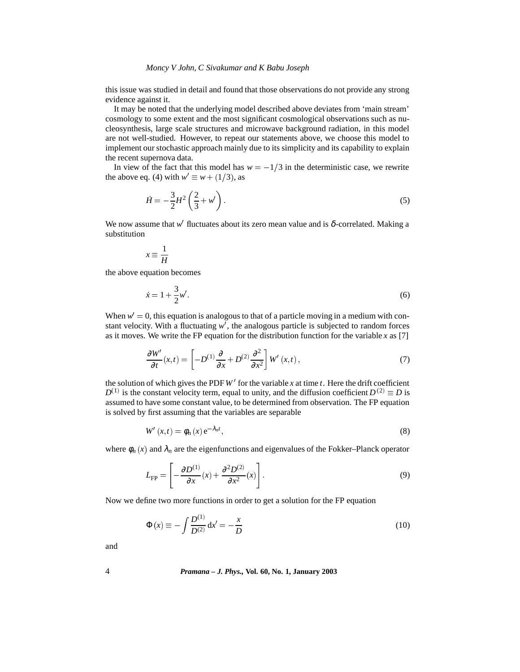## *Moncy V John, C Sivakumar and K Babu Joseph*

this issue was studied in detail and found that those observations do not provide any strong evidence against it.

It may be noted that the underlying model described above deviates from 'main stream' cosmology to some extent and the most significant cosmological observations such as nucleosynthesis, large scale structures and microwave background radiation, in this model are not well-studied. However, to repeat our statements above, we choose this model to implement our stochastic approach mainly due to its simplicity and its capability to explain the recent supernova data.

In view of the fact that this model has  $w = -1/3$  in the deterministic case, we rewrite the above eq. (4) with  $w' \equiv w + (1/3)$ , as

$$
\dot{H} = -\frac{3}{2}H^2 \left(\frac{2}{3} + w'\right). \tag{5}
$$

We now assume that  $w'$  fluctuates about its zero mean value and is  $\delta$ -correlated. Making a substitution

$$
x \equiv \frac{1}{H}
$$

the above equation becomes

$$
\dot{x} = 1 + \frac{3}{2}w'.
$$
\n(6)

When  $w' = 0$ , this equation is analogous to that of a particle moving in a medium with constant velocity. With a fluctuating  $w'$ , the analogous particle is subjected to random forces as it moves. We write the FP equation for the distribution function for the variable *x* as [7]

$$
\frac{\partial W'}{\partial t}(x,t) = \left[ -D^{(1)}\frac{\partial}{\partial x} + D^{(2)}\frac{\partial^2}{\partial x^2} \right] W'(x,t),\tag{7}
$$

the solution of which gives the PDF  $W'$  for the variable  $x$  at time  $t$ . Here the drift coefficient  $D^{(1)}$  is the constant velocity term, equal to unity, and the diffusion coefficient  $D^{(2)} \equiv D$  is assumed to have some constant value, to be determined from observation. The FP equation is solved by first assuming that the variables are separable

$$
W'(x,t) = \phi_n(x) e^{-\lambda_n t},
$$
\n(8)

where  $\phi_n(x)$  and  $\lambda_n$  are the eigenfunctions and eigenvalues of the Fokker–Planck operator

$$
L_{\rm FP} = \left[ -\frac{\partial D^{(1)}}{\partial x}(x) + \frac{\partial^2 D^{(2)}}{\partial x^2}(x) \right].
$$
 (9)

Now we define two more functions in order to get a solution for the FP equation

$$
\Phi(x) \equiv -\int \frac{D^{(1)}}{D^{(2)}} dx' = -\frac{x}{D}
$$
\n(10)

and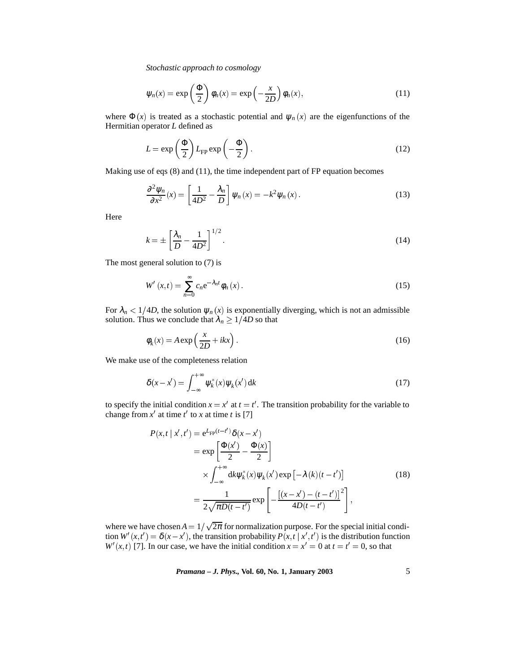*Stochastic approach to cosmology*

$$
\psi_n(x) = \exp\left(\frac{\Phi}{2}\right)\phi_n(x) = \exp\left(-\frac{x}{2D}\right)\phi_n(x),\tag{11}
$$

where  $\Phi(x)$  is treated as a stochastic potential and  $\psi_n(x)$  are the eigenfunctions of the Hermitian operator *L* defined as

$$
L = \exp\left(\frac{\Phi}{2}\right) L_{\rm FP} \exp\left(-\frac{\Phi}{2}\right). \tag{12}
$$

Making use of eqs (8) and (11), the time independent part of FP equation becomes

$$
\frac{\partial^2 \psi_n}{\partial x^2}(x) = \left[\frac{1}{4D^2} - \frac{\lambda_n}{D}\right] \psi_n(x) = -k^2 \psi_n(x).
$$
 (13)

Here

$$
k = \pm \left[\frac{\lambda_n}{D} - \frac{1}{4D^2}\right]^{1/2}.\tag{14}
$$

The most general solution to (7) is

$$
W'(x,t) = \sum_{n=0}^{\infty} c_n e^{-\lambda_n t} \phi_n(x).
$$
 (15)

For  $\lambda_n < 1/4D$ , the solution  $\psi_n(x)$  is exponentially diverging, which is not an admissible solution. Thus we conclude that  $\lambda_n \geq 1/4D$  so that

$$
\phi_k(x) = A \exp\left(\frac{x}{2D} + ikx\right). \tag{16}
$$

We make use of the completeness relation

$$
\delta(x - x') = \int_{-\infty}^{+\infty} \psi_k^*(x) \psi_k(x') \, \mathrm{d}k \tag{17}
$$

to specify the initial condition  $x = x'$  at  $t = t'$ . The transition probability for the variable to change from  $x'$  at time  $t'$  to  $x$  at time  $t$  is [7]

$$
P(x, t | x', t') = e^{L_{\text{FP}}(t-t')} \delta(x - x')
$$
  
\n
$$
= \exp\left[\frac{\Phi(x')}{2} - \frac{\Phi(x)}{2}\right]
$$
  
\n
$$
\times \int_{-\infty}^{+\infty} dk \psi_k^*(x) \psi_k(x') \exp\left[-\lambda(k)(t-t')\right]
$$
  
\n
$$
= \frac{1}{2\sqrt{\pi D(t-t')}} \exp\left[-\frac{\left[(x - x') - (t-t')\right]^2}{4D(t-t')}\right],
$$
\n(18)

where we have chosen  $A = 1/\sqrt{2\pi}$  for normalization purpose. For the special initial condition  $W'(x,t') = \delta(x-x')$ , the transition probability  $P(x,t | x',t')$  is the distribution function *W'*(*x*,*t*) [7]. In our case, we have the initial condition  $x = x' = 0$  at  $t = t' = 0$ , so that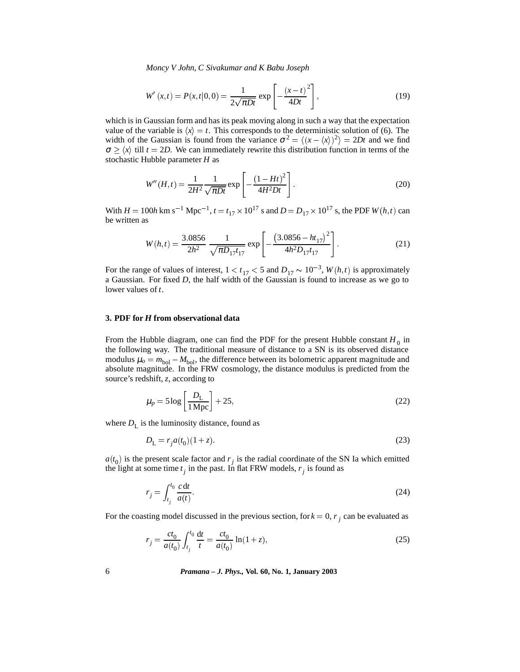*Moncy V John, C Sivakumar and K Babu Joseph*

$$
W'(x,t) = P(x,t|0,0) = \frac{1}{2\sqrt{\pi Dt}} \exp\left[-\frac{(x-t)^2}{4Dt}\right],
$$
\n(19)

which is in Gaussian form and has its peak moving along in such a way that the expectation value of the variable is  $\langle x \rangle = t$ . This corresponds to the deterministic solution of (6). The width of the Gaussian is found from the variance  $\sigma^2 = \langle (x - \langle x \rangle)^2 \rangle = 2Dt$  and we find  $\sigma \geq \langle x \rangle$  till  $t = 2D$ . We can immediately rewrite this distribution function in terms of the stochastic Hubble parameter *H* as

$$
W''(H,t) = \frac{1}{2H^2} \frac{1}{\sqrt{\pi Dt}} \exp\left[-\frac{(1 - Ht)^2}{4H^2Dt}\right].
$$
 (20)

With  $H = 100h$  km s<sup>-1</sup> Mpc<sup>-1</sup>,  $t = t_{17} \times 10^{17}$  s and  $D = D_{17} \times 10^{17}$  s, the PDF *W*(*h*,*t*) can be written as

$$
W(h,t) = \frac{3.0856}{2h^2} \frac{1}{\sqrt{\pi D_{17} t_{17}}} \exp\left[-\frac{\left(3.0856 - h t_{17}\right)^2}{4h^2 D_{17} t_{17}}\right].
$$
 (21)

For the range of values of interest,  $1 < t_{17} < 5$  and  $D_{17} \sim 10^{-3}$ ,  $W(h, t)$  is approximately a Gaussian. For fixed *D*, the half width of the Gaussian is found to increase as we go to lower values of *t*.

## **3. PDF for** *H* **from observational data**

From the Hubble diagram, one can find the PDF for the present Hubble constant  $H_0$  in the following way. The traditional measure of distance to a SN is its observed distance modulus  $\mu_o = m_{bol} - M_{bol}$ , the difference between its bolometric apparent magnitude and absolute magnitude. In the FRW cosmology, the distance modulus is predicted from the source's redshift, *z*, according to

$$
\mu_p = 5 \log \left[ \frac{D_L}{1 \, \text{Mpc}} \right] + 25,\tag{22}
$$

where  $D_{\text{L}}$  is the luminosity distance, found as

$$
D_{\rm L} = r_j a(t_0)(1+z). \tag{23}
$$

 $a(t_0)$  is the present scale factor and  $r_j$  is the radial coordinate of the SN Ia which emitted the light at some time  $t_j$  in the past. In flat FRW models,  $r_j$  is found as

$$
r_j = \int_{t_j}^{t_0} \frac{c \, \mathrm{d} t}{a(t)}.\tag{24}
$$

For the coasting model discussed in the previous section, for  $k = 0$ ,  $r_i$  can be evaluated as

$$
r_j = \frac{ct_0}{a(t_0)} \int_{t_j}^{t_0} \frac{dt}{t} = \frac{ct_0}{a(t_0)} \ln(1+z),
$$
\n(25)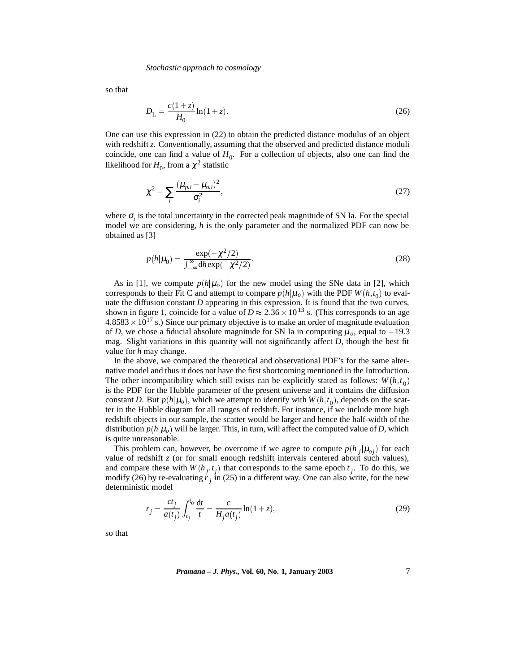#### *Stochastic approach to cosmology*

so that

$$
D_{\rm L} = \frac{c(1+z)}{H_0} \ln(1+z). \tag{26}
$$

One can use this expression in (22) to obtain the predicted distance modulus of an object with redshift *z*. Conventionally, assuming that the observed and predicted distance moduli coincide, one can find a value of  $H_0$ . For a collection of objects, also one can find the likelihood for  $H_0$ , from a  $\chi^2$  statistic

$$
\chi^2 = \sum_i \frac{(\mu_{p,i} - \mu_{o,i})^2}{\sigma_i^2},\tag{27}
$$

where  $\sigma_i$  is the total uncertainty in the corrected peak magnitude of SN Ia. For the special model we are considering, *h* is the only parameter and the normalized PDF can now be obtained as [3]

$$
p(h|\mu_0) = \frac{\exp(-\chi^2/2)}{\int_{-\infty}^{\infty} d\mu \exp(-\chi^2/2)}.
$$
\n(28)

As in [1], we compute  $p(h|\mu_o)$  for the new model using the SNe data in [2], which corresponds to their Fit C and attempt to compare  $p(h|\mu_o)$  with the PDF  $W(h, t_0)$  to evaluate the diffusion constant *D* appearing in this expression. It is found that the two curves, shown in figure 1, coincide for a value of  $D \approx 2.36 \times 10^{13}$  s. (This corresponds to an age  $4.8583 \times 10^{17}$  s.) Since our primary objective is to make an order of magnitude evaluation of *D*, we chose a fiducial absolute magnitude for SN Ia in computing  $\mu_o$ , equal to -19.3 mag. Slight variations in this quantity will not significantly affect *D*, though the best fit value for *h* may change.

In the above, we compared the theoretical and observational PDF's for the same alternative model and thus it does not have the first shortcoming mentioned in the Introduction. The other incompatibility which still exists can be explicitly stated as follows:  $W(h, t_0)$ is the PDF for the Hubble parameter of the present universe and it contains the diffusion constant *D*. But  $p(h|\mu_o)$ , which we attempt to identify with  $W(h, t_o)$ , depends on the scatter in the Hubble diagram for all ranges of redshift. For instance, if we include more high redshift objects in our sample, the scatter would be larger and hence the half-width of the distribution  $p(h|\mu_o)$  will be larger. This, in turn, will affect the computed value of *D*, which is quite unreasonable.

This problem can, however, be overcome if we agree to compute  $p(h_i|\mu_{oi})$  for each value of redshift *z* (or for small enough redshift intervals centered about such values), and compare these with  $W(h_j, t_j)$  that corresponds to the same epoch  $t_j$ . To do this, we modify (26) by re-evaluating  $\dot{r}$  *j* in (25) in a different way. One can also write, for the new deterministic model

$$
r_j = \frac{ct_j}{a(t_j)} \int_{t_j}^{t_0} \frac{dt}{t} = \frac{c}{H_j a(t_j)} \ln(1+z),
$$
\n(29)

so that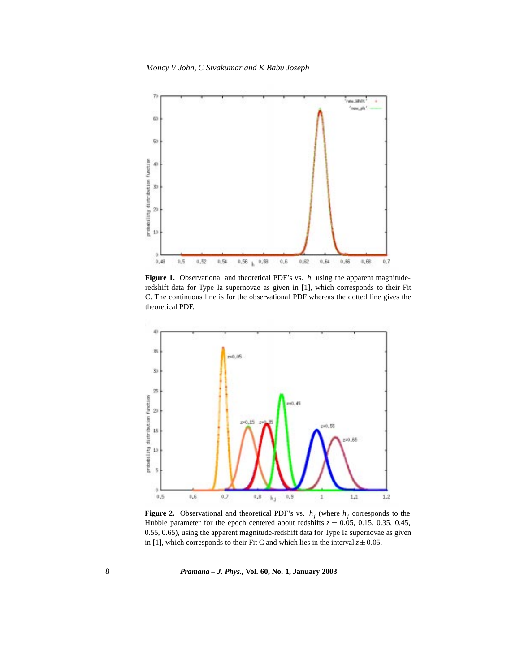

**Figure 1.** Observational and theoretical PDF's vs. *h*, using the apparent magnituderedshift data for Type Ia supernovae as given in [1], which corresponds to their Fit C. The continuous line is for the observational PDF whereas the dotted line gives the theoretical PDF.



**Figure 2.** Observational and theoretical PDF's vs.  $h_j$  (where  $h_j$  corresponds to the Hubble parameter for the epoch centered about redshifts  $z = 0.05, 0.15, 0.35, 0.45$ , 0.55, 0.65), using the apparent magnitude-redshift data for Type Ia supernovae as given in [1], which corresponds to their Fit C and which lies in the interval  $z \pm 0.05$ .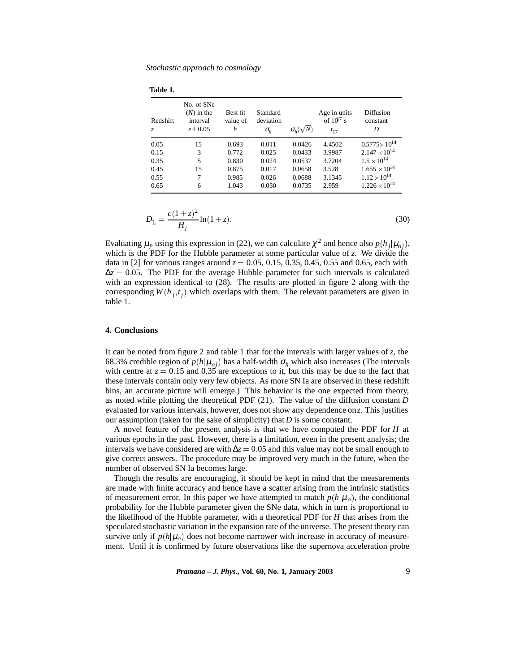**Table 1.**

| Redshift<br>Z. | No. of SNe<br>$(N)$ in the<br>interval<br>$z \pm 0.05$ | Best fit<br>value of<br>h | Standard<br>deviation<br>$\sigma_{h}$ | $\sigma_h(\sqrt{N})$ | Age in units<br>of $10^{17}$ s<br>$t_{17}$ | Diffusion<br>constant<br>D |
|----------------|--------------------------------------------------------|---------------------------|---------------------------------------|----------------------|--------------------------------------------|----------------------------|
| 0.05           | 15                                                     | 0.693                     | 0.011                                 | 0.0426               | 4.4502                                     | $0.5775 \times 10^{14}$    |
| 0.15           | 3                                                      | 0.772                     | 0.025                                 | 0.0433               | 3.9987                                     | $2.147 \times 10^{14}$     |
| 0.35           | 5                                                      | 0.830                     | 0.024                                 | 0.0537               | 3.7204                                     | $1.5 \times 10^{14}$       |
| 0.45           | 15                                                     | 0.875                     | 0.017                                 | 0.0658               | 3.528                                      | $1.655 \times 10^{14}$     |
| 0.55           | 7                                                      | 0.985                     | 0.026                                 | 0.0688               | 3.1345                                     | $1.12 \times 10^{14}$      |
| 0.65           | 6                                                      | 1.043                     | 0.030                                 | 0.0735               | 2.959                                      | $1.226 \times 10^{14}$     |

$$
D_{\rm L} = \frac{c(1+z)^2}{H_j} \ln(1+z). \tag{30}
$$

Evaluating  $\mu_p$  using this expression in (22), we can calculate  $\chi^2$  and hence also  $p(h_i|\mu_{oi})$ , which is the PDF for the Hubble parameter at some particular value of *z*. We divide the data in [2] for various ranges around  $z = 0.05, 0.15, 0.35, 0.45, 0.55$  and 0.65, each with  $\Delta z = 0.05$ . The PDF for the average Hubble parameter for such intervals is calculated with an expression identical to (28). The results are plotted in figure 2 along with the corresponding  $W(h_i, t_i)$  which overlaps with them. The relevant parameters are given in table 1.

### **4. Conclusions**

It can be noted from figure 2 and table 1 that for the intervals with larger values of *z*, the 68.3% credible region of  $p(h|\mu_{oj})$  has a half-width  $\sigma_h$  which also increases (The intervals with centre at  $z = 0.15$  and  $0.35$  are exceptions to it, but this may be due to the fact that these intervals contain only very few objects. As more SN Ia are observed in these redshift bins, an accurate picture will emerge.) This behavior is the one expected from theory, as noted while plotting the theoretical PDF (21). The value of the diffusion constant *D* evaluated for various intervals, however, does not show any dependence on*z*. This justifies our assumption (taken for the sake of simplicity) that *D* is some constant.

A novel feature of the present analysis is that we have computed the PDF for *H* at various epochs in the past. However, there is a limitation, even in the present analysis; the intervals we have considered are with  $\Delta z = 0.05$  and this value may not be small enough to give correct answers. The procedure may be improved very much in the future, when the number of observed SN Ia becomes large.

Though the results are encouraging, it should be kept in mind that the measurements are made with finite accuracy and hence have a scatter arising from the intrinsic statistics of measurement error. In this paper we have attempted to match  $p(h|\mu_o)$ , the conditional probability for the Hubble parameter given the SNe data, which in turn is proportional to the likelihood of the Hubble parameter, with a theoretical PDF for *H* that arises from the speculated stochastic variation in the expansion rate of the universe. The present theory can survive only if  $p(h|\mu_o)$  does not become narrower with increase in accuracy of measurement. Until it is confirmed by future observations like the supernova acceleration probe